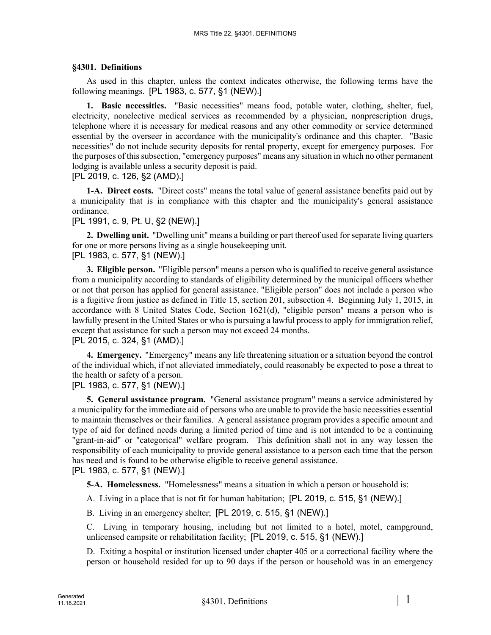## **§4301. Definitions**

As used in this chapter, unless the context indicates otherwise, the following terms have the following meanings. [PL 1983, c. 577, §1 (NEW).]

**1. Basic necessities.** "Basic necessities" means food, potable water, clothing, shelter, fuel, electricity, nonelective medical services as recommended by a physician, nonprescription drugs, telephone where it is necessary for medical reasons and any other commodity or service determined essential by the overseer in accordance with the municipality's ordinance and this chapter. "Basic necessities" do not include security deposits for rental property, except for emergency purposes. For the purposes of this subsection, "emergency purposes" means any situation in which no other permanent lodging is available unless a security deposit is paid.

[PL 2019, c. 126, §2 (AMD).]

**1-A. Direct costs.** "Direct costs" means the total value of general assistance benefits paid out by a municipality that is in compliance with this chapter and the municipality's general assistance ordinance.

## [PL 1991, c. 9, Pt. U, §2 (NEW).]

**2. Dwelling unit.** "Dwelling unit" means a building or part thereof used for separate living quarters for one or more persons living as a single housekeeping unit. [PL 1983, c. 577, §1 (NEW).]

**3. Eligible person.** "Eligible person" means a person who is qualified to receive general assistance from a municipality according to standards of eligibility determined by the municipal officers whether or not that person has applied for general assistance. "Eligible person" does not include a person who is a fugitive from justice as defined in Title 15, section 201, subsection 4. Beginning July 1, 2015, in accordance with 8 United States Code, Section 1621(d), "eligible person" means a person who is lawfully present in the United States or who is pursuing a lawful process to apply for immigration relief, except that assistance for such a person may not exceed 24 months. [PL 2015, c. 324, §1 (AMD).]

**4. Emergency.** "Emergency" means any life threatening situation or a situation beyond the control of the individual which, if not alleviated immediately, could reasonably be expected to pose a threat to the health or safety of a person.

[PL 1983, c. 577, §1 (NEW).]

**5. General assistance program.** "General assistance program" means a service administered by a municipality for the immediate aid of persons who are unable to provide the basic necessities essential to maintain themselves or their families. A general assistance program provides a specific amount and type of aid for defined needs during a limited period of time and is not intended to be a continuing "grant-in-aid" or "categorical" welfare program. This definition shall not in any way lessen the responsibility of each municipality to provide general assistance to a person each time that the person has need and is found to be otherwise eligible to receive general assistance. [PL 1983, c. 577, §1 (NEW).]

**5-A. Homelessness.** "Homelessness" means a situation in which a person or household is:

A. Living in a place that is not fit for human habitation; [PL 2019, c. 515, §1 (NEW).]

B. Living in an emergency shelter; [PL 2019, c. 515, §1 (NEW).]

C. Living in temporary housing, including but not limited to a hotel, motel, campground, unlicensed campsite or rehabilitation facility; [PL 2019, c. 515, §1 (NEW).]

D. Exiting a hospital or institution licensed under chapter 405 or a correctional facility where the person or household resided for up to 90 days if the person or household was in an emergency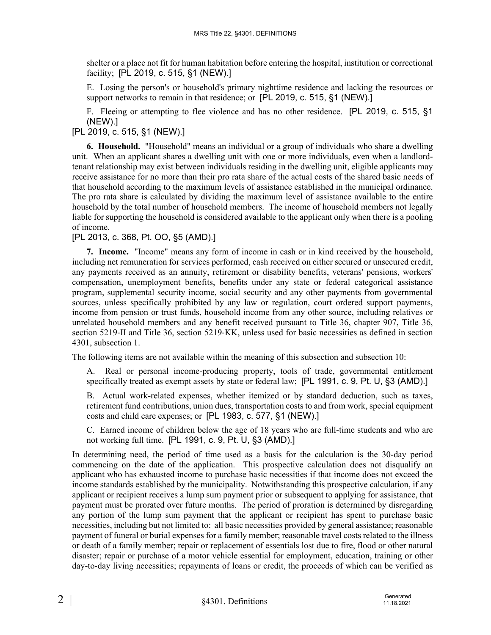shelter or a place not fit for human habitation before entering the hospital, institution or correctional facility; [PL 2019, c. 515, §1 (NEW).]

E. Losing the person's or household's primary nighttime residence and lacking the resources or support networks to remain in that residence; or [PL 2019, c. 515, §1 (NEW).]

F. Fleeing or attempting to flee violence and has no other residence. [PL 2019, c. 515, §1 (NEW).]

[PL 2019, c. 515, §1 (NEW).]

**6. Household.** "Household" means an individual or a group of individuals who share a dwelling unit. When an applicant shares a dwelling unit with one or more individuals, even when a landlordtenant relationship may exist between individuals residing in the dwelling unit, eligible applicants may receive assistance for no more than their pro rata share of the actual costs of the shared basic needs of that household according to the maximum levels of assistance established in the municipal ordinance. The pro rata share is calculated by dividing the maximum level of assistance available to the entire household by the total number of household members. The income of household members not legally liable for supporting the household is considered available to the applicant only when there is a pooling of income.

[PL 2013, c. 368, Pt. OO, §5 (AMD).]

**7. Income.** "Income" means any form of income in cash or in kind received by the household, including net remuneration for services performed, cash received on either secured or unsecured credit, any payments received as an annuity, retirement or disability benefits, veterans' pensions, workers' compensation, unemployment benefits, benefits under any state or federal categorical assistance program, supplemental security income, social security and any other payments from governmental sources, unless specifically prohibited by any law or regulation, court ordered support payments, income from pension or trust funds, household income from any other source, including relatives or unrelated household members and any benefit received pursuant to Title 36, chapter 907, Title 36, section 5219–II and Title 36, section 5219–KK, unless used for basic necessities as defined in section 4301, subsection 1.

The following items are not available within the meaning of this subsection and subsection 10:

A. Real or personal income-producing property, tools of trade, governmental entitlement specifically treated as exempt assets by state or federal law; [PL 1991, c. 9, Pt. U, §3 (AMD).]

B. Actual work-related expenses, whether itemized or by standard deduction, such as taxes, retirement fund contributions, union dues, transportation costs to and from work, special equipment costs and child care expenses; or [PL 1983, c. 577, §1 (NEW).]

C. Earned income of children below the age of 18 years who are full-time students and who are not working full time. [PL 1991, c. 9, Pt. U, §3 (AMD).]

In determining need, the period of time used as a basis for the calculation is the 30-day period commencing on the date of the application. This prospective calculation does not disqualify an applicant who has exhausted income to purchase basic necessities if that income does not exceed the income standards established by the municipality. Notwithstanding this prospective calculation, if any applicant or recipient receives a lump sum payment prior or subsequent to applying for assistance, that payment must be prorated over future months. The period of proration is determined by disregarding any portion of the lump sum payment that the applicant or recipient has spent to purchase basic necessities, including but not limited to: all basic necessities provided by general assistance; reasonable payment of funeral or burial expenses for a family member; reasonable travel costs related to the illness or death of a family member; repair or replacement of essentials lost due to fire, flood or other natural disaster; repair or purchase of a motor vehicle essential for employment, education, training or other day-to-day living necessities; repayments of loans or credit, the proceeds of which can be verified as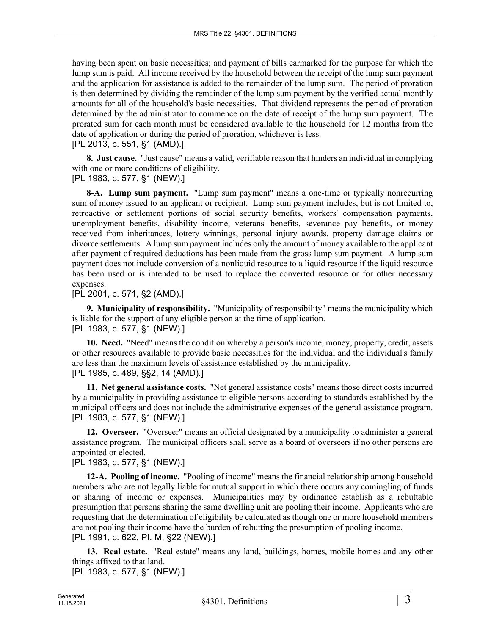having been spent on basic necessities; and payment of bills earmarked for the purpose for which the lump sum is paid. All income received by the household between the receipt of the lump sum payment and the application for assistance is added to the remainder of the lump sum. The period of proration is then determined by dividing the remainder of the lump sum payment by the verified actual monthly amounts for all of the household's basic necessities. That dividend represents the period of proration determined by the administrator to commence on the date of receipt of the lump sum payment. The prorated sum for each month must be considered available to the household for 12 months from the date of application or during the period of proration, whichever is less.

[PL 2013, c. 551, §1 (AMD).]

**8. Just cause.** "Just cause" means a valid, verifiable reason that hinders an individual in complying with one or more conditions of eligibility.

[PL 1983, c. 577, §1 (NEW).]

**8-A. Lump sum payment.** "Lump sum payment" means a one-time or typically nonrecurring sum of money issued to an applicant or recipient. Lump sum payment includes, but is not limited to, retroactive or settlement portions of social security benefits, workers' compensation payments, unemployment benefits, disability income, veterans' benefits, severance pay benefits, or money received from inheritances, lottery winnings, personal injury awards, property damage claims or divorce settlements. A lump sum payment includes only the amount of money available to the applicant after payment of required deductions has been made from the gross lump sum payment. A lump sum payment does not include conversion of a nonliquid resource to a liquid resource if the liquid resource has been used or is intended to be used to replace the converted resource or for other necessary expenses.

[PL 2001, c. 571, §2 (AMD).]

**9. Municipality of responsibility.** "Municipality of responsibility" means the municipality which is liable for the support of any eligible person at the time of application. [PL 1983, c. 577, §1 (NEW).]

**10. Need.** "Need" means the condition whereby a person's income, money, property, credit, assets or other resources available to provide basic necessities for the individual and the individual's family are less than the maximum levels of assistance established by the municipality. [PL 1985, c. 489, §§2, 14 (AMD).]

**11. Net general assistance costs.** "Net general assistance costs" means those direct costs incurred by a municipality in providing assistance to eligible persons according to standards established by the municipal officers and does not include the administrative expenses of the general assistance program. [PL 1983, c. 577, §1 (NEW).]

**12. Overseer.** "Overseer" means an official designated by a municipality to administer a general assistance program. The municipal officers shall serve as a board of overseers if no other persons are appointed or elected.

[PL 1983, c. 577, §1 (NEW).]

**12-A. Pooling of income.** "Pooling of income" means the financial relationship among household members who are not legally liable for mutual support in which there occurs any comingling of funds or sharing of income or expenses. Municipalities may by ordinance establish as a rebuttable presumption that persons sharing the same dwelling unit are pooling their income. Applicants who are requesting that the determination of eligibility be calculated as though one or more household members are not pooling their income have the burden of rebutting the presumption of pooling income. [PL 1991, c. 622, Pt. M, §22 (NEW).]

**13. Real estate.** "Real estate" means any land, buildings, homes, mobile homes and any other things affixed to that land.

[PL 1983, c. 577, §1 (NEW).]